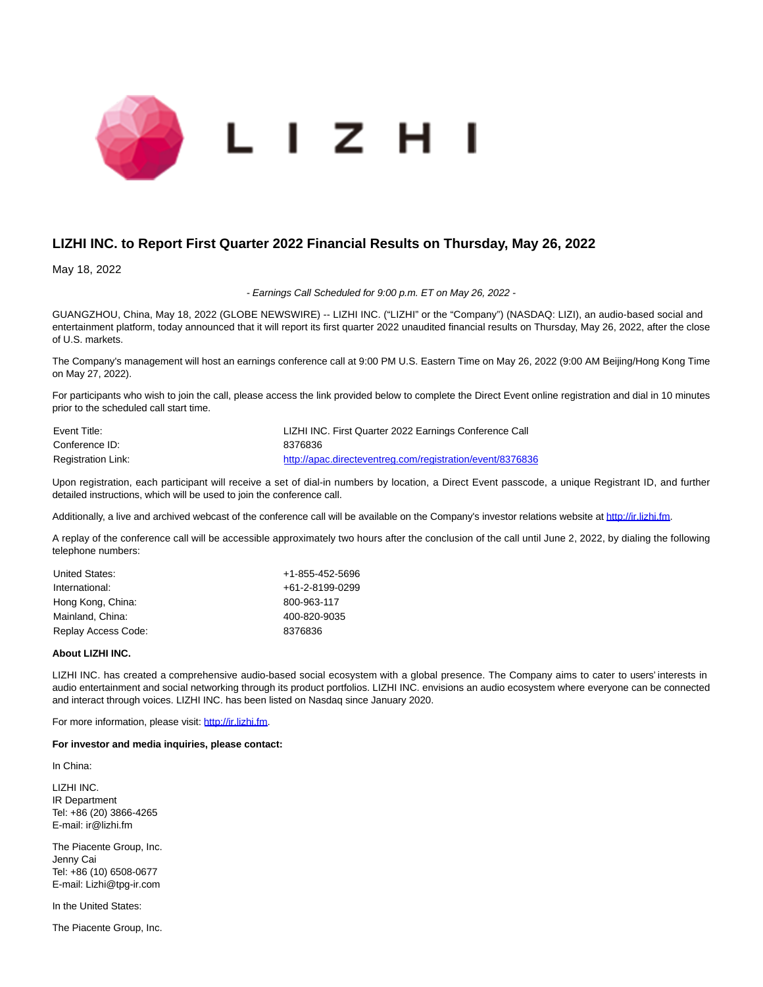

## **LIZHI INC. to Report First Quarter 2022 Financial Results on Thursday, May 26, 2022**

May 18, 2022

- Earnings Call Scheduled for 9:00 p.m. ET on May 26, 2022 -

GUANGZHOU, China, May 18, 2022 (GLOBE NEWSWIRE) -- LIZHI INC. ("LIZHI" or the "Company") (NASDAQ: LIZI), an audio-based social and entertainment platform, today announced that it will report its first quarter 2022 unaudited financial results on Thursday, May 26, 2022, after the close of U.S. markets.

The Company's management will host an earnings conference call at 9:00 PM U.S. Eastern Time on May 26, 2022 (9:00 AM Beijing/Hong Kong Time on May 27, 2022).

For participants who wish to join the call, please access the link provided below to complete the Direct Event online registration and dial in 10 minutes prior to the scheduled call start time.

| Event Title:              | LIZHI INC. First Quarter 2022 Earnings Conference Call    |
|---------------------------|-----------------------------------------------------------|
| Conference ID:            | 8376836                                                   |
| <b>Registration Link:</b> | http://apac.directeventreg.com/registration/event/8376836 |

Upon registration, each participant will receive a set of dial-in numbers by location, a Direct Event passcode, a unique Registrant ID, and further detailed instructions, which will be used to join the conference call.

Additionally, a live and archived webcast of the conference call will be available on the Company's investor relations website at [http://ir.lizhi.fm.](https://www.globenewswire.com/Tracker?data=ijzpgHcqC7xpm3OCwdkVwkvRXoogNxAYC9JUQ2t5tpmLevz5h5Z6slf3aZhHASWseJG7RfrURtXzmnrVoFsKKg==)

A replay of the conference call will be accessible approximately two hours after the conclusion of the call until June 2, 2022, by dialing the following telephone numbers:

| United States:      | +1-855-452-5696 |
|---------------------|-----------------|
| International:      | +61-2-8199-0299 |
| Hong Kong, China:   | 800-963-117     |
| Mainland, China:    | 400-820-9035    |
| Replay Access Code: | 8376836         |

## **About LIZHI INC.**

LIZHI INC. has created a comprehensive audio-based social ecosystem with a global presence. The Company aims to cater to users' interests in audio entertainment and social networking through its product portfolios. LIZHI INC. envisions an audio ecosystem where everyone can be connected and interact through voices. LIZHI INC. has been listed on Nasdaq since January 2020.

For more information, please visit: [http://ir.lizhi.fm.](https://www.globenewswire.com/Tracker?data=ijzpgHcqC7xpm3OCwdkVwoZt-1xC--Gig2qNMQ5b5lXPyvkpVfsLoa-fwupssebIsTavb3u7DsTS5GBuvH7vDA==)

## **For investor and media inquiries, please contact:**

In China:

LIZHI INC. IR Department Tel: +86 (20) 3866-4265 E-mail: ir@lizhi.fm

The Piacente Group, Inc. Jenny Cai Tel: +86 (10) 6508-0677 E-mail: Lizhi@tpg-ir.com

In the United States:

The Piacente Group, Inc.